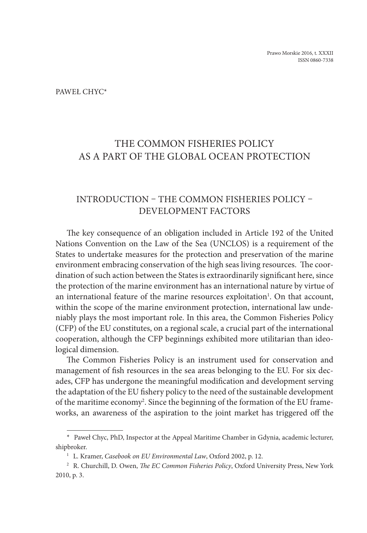Paweł Chyc\*

# THE COMMON FISHERIES POLICY AS A PART OF THE GLOBAL OCEAN PROTECTION

### INTRODUCTION – THE COMMON FISHERIES POLICY – DEVELOPMENT FACTORS

The key consequence of an obligation included in Article 192 of the United Nations Convention on the Law of the Sea (UNCLOS) is a requirement of the States to undertake measures for the protection and preservation of the marine environment embracing conservation of the high seas living resources. The coordination of such action between the States is extraordinarily significant here, since the protection of the marine environment has an international nature by virtue of an international feature of the marine resources exploitation<sup>1</sup>. On that account, within the scope of the marine environment protection, international law undeniably plays the most important role. In this area, the Common Fisheries Policy (CFP) of the EU constitutes, on a regional scale, a crucial part of the international cooperation, although the CFP beginnings exhibited more utilitarian than ideological dimension.

The Common Fisheries Policy is an instrument used for conservation and management of fish resources in the sea areas belonging to the EU. For six decades, CFP has undergone the meaningful modification and development serving the adaptation of the EU fishery policy to the need of the sustainable development of the maritime economy<sup>2</sup>. Since the beginning of the formation of the EU frameworks, an awareness of the aspiration to the joint market has triggered off the

<sup>\*</sup> Paweł Chyc, PhD, Inspector at the Appeal Maritime Chamber in Gdynia, academic lecturer, shipbroker. 1 L. Kramer, *Casebook on EU Environmental Law*, Oxford 2002, p. 12.

<sup>2</sup> R. Churchill, D. Owen, *The EC Common Fisheries Policy*, Oxford University Press, New York 2010, p. 3.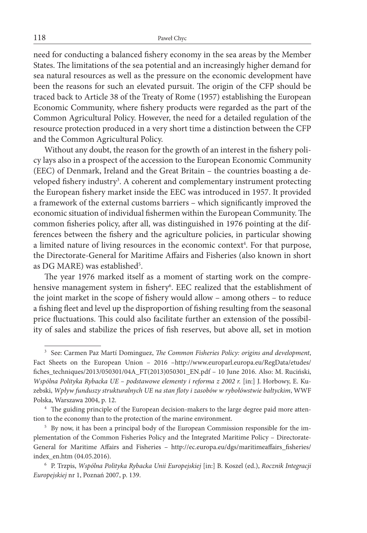need for conducting a balanced fishery economy in the sea areas by the Member States. The limitations of the sea potential and an increasingly higher demand for sea natural resources as well as the pressure on the economic development have been the reasons for such an elevated pursuit. The origin of the CFP should be traced back to Article 38 of the Treaty of Rome (1957) establishing the European Economic Community, where fishery products were regarded as the part of the Common Agricultural Policy. However, the need for a detailed regulation of the resource protection produced in a very short time a distinction between the CFP and the Common Agricultural Policy.

Without any doubt, the reason for the growth of an interest in the fishery policy lays also in a prospect of the accession to the European Economic Community (EEC) of Denmark, Ireland and the Great Britain – the countries boasting a developed fishery industry<sup>3</sup>. A coherent and complementary instrument protecting the European fishery market inside the EEC was introduced in 1957. It provided a framework of the external customs barriers – which significantly improved the economic situation of individual fishermen within the European Community. The common fisheries policy, after all, was distinguished in 1976 pointing at the differences between the fishery and the agriculture policies, in particular showing a limited nature of living resources in the economic context<sup>4</sup>. For that purpose, the Directorate-General for Maritime Affairs and Fisheries (also known in short as DG MARE) was established<sup>5</sup>.

The year 1976 marked itself as a moment of starting work on the comprehensive management system in fishery<sup>6</sup>. EEC realized that the establishment of the joint market in the scope of fishery would allow – among others – to reduce a fishing fleet and level up the disproportion of fishing resulting from the seasonal price fluctuations. This could also facilitate further an extension of the possibility of sales and stabilize the prices of fish reserves, but above all, set in motion

<sup>3</sup> See: Carmen Paz Martí Dominguez, *The Common Fisheries Policy: origins and development*, Fact Sheets on the European Union – 2016 –http://www.europarl.europa.eu/RegData/etudes/ fiches\_techniques/2013/050301/04A\_FT(2013)050301\_EN.pdf – 10 June 2016. Also: M. Ruciński, *Wspólna Polityka Rybacka UE – podstawowe elementy i reforma z 2002 r.* [in:] J. Horbowy, E. Kuzebski, *Wpływ funduszy strukturalnych UE na stan floty i zasobów w rybołówstwie bałtyckim*, WWF Polska, Warszawa 2004, p. 12.

<sup>4</sup> The guiding principle of the European decision-makers to the large degree paid more attention to the economy than to the protection of the marine environment.

<sup>5</sup> By now, it has been a principal body of the European Commission responsible for the implementation of the Common Fisheries Policy and the Integrated Maritime Policy – Directorate-General for Maritime Affairs and Fisheries – http://ec.europa.eu/dgs/maritimeaffairs\_fisheries/ index\_en.htm (04.05.2016).

<sup>6</sup> P. Trzpis, *Wspólna Polityka Rybacka Unii Europejskiej* [in:] B. Koszel (ed.), *Rocznik Integracji Europejskiej* nr 1, Poznań 2007, p. 139.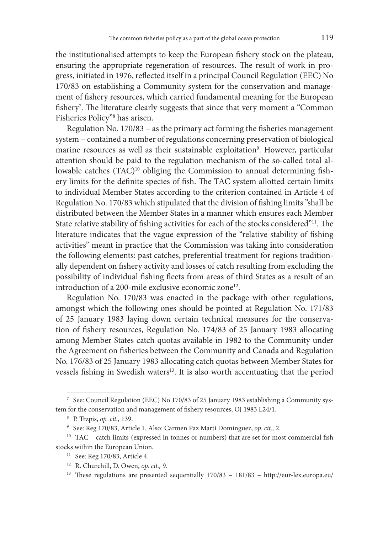the institutionalised attempts to keep the European fishery stock on the plateau, ensuring the appropriate regeneration of resources. The result of work in progress, initiated in 1976, reflected itself in a principal Council Regulation (EEC) No 170/83 on establishing a Community system for the conservation and management of fishery resources, which carried fundamental meaning for the European fishery7 . The literature clearly suggests that since that very moment a "Common Fisheries Policy"8 has arisen.

Regulation No. 170/83 – as the primary act forming the fisheries management system – contained a number of regulations concerning preservation of biological marine resources as well as their sustainable exploitation<sup>9</sup>. However, particular attention should be paid to the regulation mechanism of the so-called total allowable catches (TAC)<sup>10</sup> obliging the Commission to annual determining fishery limits for the definite species of fish. The TAC system allotted certain limits to individual Member States according to the criterion contained in Article 4 of Regulation No. 170/83 which stipulated that the division of fishing limits "shall be distributed between the Member States in a manner which ensures each Member State relative stability of fishing activities for each of the stocks considered"<sup>11</sup>. The literature indicates that the vague expression of the "relative stability of fishing activities" meant in practice that the Commission was taking into consideration the following elements: past catches, preferential treatment for regions traditionally dependent on fishery activity and losses of catch resulting from excluding the possibility of individual fishing fleets from areas of third States as a result of an introduction of a 200-mile exclusive economic zone<sup>12</sup>.

Regulation No. 170/83 was enacted in the package with other regulations, amongst which the following ones should be pointed at Regulation No. 171/83 of 25 January 1983 laying down certain technical measures for the conservation of fishery resources, Regulation No. 174/83 of 25 January 1983 allocating among Member States catch quotas available in 1982 to the Community under the Agreement on fisheries between the Community and Canada and Regulation No. 176/83 of 25 January 1983 allocating catch quotas between Member States for vessels fishing in Swedish waters<sup>13</sup>. It is also worth accentuating that the period

<sup>7</sup> See: Council Regulation (EEC) No 170/83 of 25 January 1983 establishing a Community system for the conservation and management of fishery resources, OJ 1983 L24/1.

<sup>8</sup> P. Trzpis, *op. cit.,* 139.

<sup>9</sup> See: Reg 170/83, Article 1. Also: Carmen Paz Martí Dominguez, *op. cit.,* 2.

 $10$  TAC – catch limits (expressed in tonnes or numbers) that are set for most commercial fish stocks within the European Union.

<sup>&</sup>lt;sup>11</sup> See: Reg 170/83, Article 4.

<sup>12</sup> R. Churchill, D. Owen, *op. cit.,* 9.

<sup>&</sup>lt;sup>13</sup> These regulations are presented sequentially 170/83 - 181/83 - http://eur-lex.europa.eu/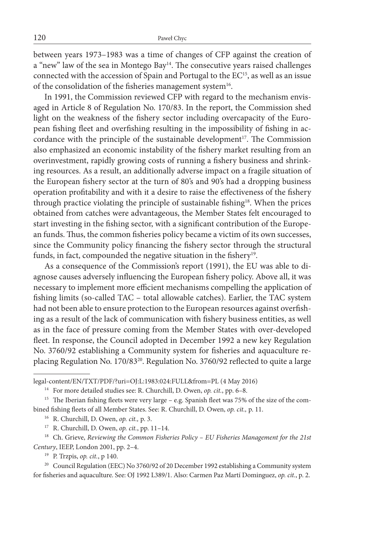between years 1973–1983 was a time of changes of CFP against the creation of a "new" law of the sea in Montego Bay<sup>14</sup>. The consecutive years raised challenges connected with the accession of Spain and Portugal to the EC<sup>15</sup>, as well as an issue of the consolidation of the fisheries management system<sup>16</sup>.

In 1991, the Commission reviewed CFP with regard to the mechanism envisaged in Article 8 of Regulation No. 170/83. In the report, the Commission shed light on the weakness of the fishery sector including overcapacity of the European fishing fleet and overfishing resulting in the impossibility of fishing in accordance with the principle of the sustainable development<sup>17</sup>. The Commission also emphasized an economic instability of the fishery market resulting from an overinvestment, rapidly growing costs of running a fishery business and shrinking resources. As a result, an additionally adverse impact on a fragile situation of the European fishery sector at the turn of 80's and 90's had a dropping business operation profitability and with it a desire to raise the effectiveness of the fishery through practice violating the principle of sustainable fishing<sup>18</sup>. When the prices obtained from catches were advantageous, the Member States felt encouraged to start investing in the fishing sector, with a significant contribution of the European funds. Thus, the common fisheries policy became a victim of its own successes, since the Community policy financing the fishery sector through the structural funds, in fact, compounded the negative situation in the fishery<sup>19</sup>.

As a consequence of the Commission's report (1991), the EU was able to diagnose causes adversely influencing the European fishery policy. Above all, it was necessary to implement more efficient mechanisms compelling the application of fishing limits (so-called TAC – total allowable catches). Earlier, the TAC system had not been able to ensure protection to the European resources against overfishing as a result of the lack of communication with fishery business entities, as well as in the face of pressure coming from the Member States with over-developed fleet. In response, the Council adopted in December 1992 a new key Regulation No. 3760/92 establishing a Community system for fisheries and aquaculture replacing Regulation No. 170/8320. Regulation No. 3760/92 reflected to quite a large

<sup>17</sup> R. Churchill, D. Owen, *op. cit.*, pp. 11–14.

legal-content/EN/TXT/PDF/?uri=OJ:L:1983:024:FULL&from=PL (4 May 2016)

<sup>14</sup> For more detailed studies see: R. Churchill, D. Owen, *op. cit.*, pp. 6–8.

<sup>&</sup>lt;sup>15</sup> The Iberian fishing fleets were very large – e.g. Spanish fleet was 75% of the size of the combined fishing fleets of all Member States. See: R. Churchill, D. Owen, *op. cit.,* p. 11.

<sup>16</sup> R. Churchill, D. Owen, *op. cit.,* p. 3.

<sup>&</sup>lt;sup>18</sup> Ch. Grieve, *Reviewing the Common Fisheries Policy – EU Fisheries Management for the 21st Century*, IEEP, London 2001, pp. 2–4.

<sup>19</sup> P. Trzpis, *op. cit.*, p 140.

<sup>&</sup>lt;sup>20</sup> Council Regulation (EEC) No 3760/92 of 20 December 1992 establishing a Community system for fisheries and aquaculture. See: OJ 1992 L389/1. Also: Carmen Paz Martí Dominguez, *op. cit.*, p. 2.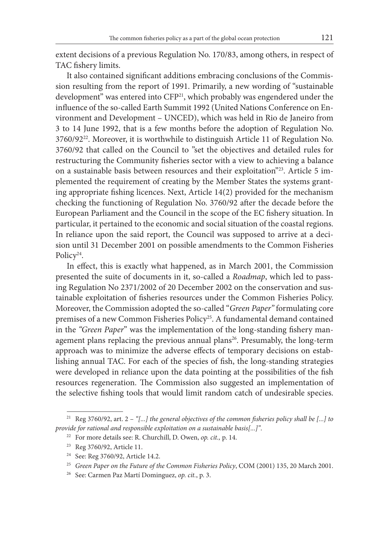extent decisions of a previous Regulation No. 170/83, among others, in respect of TAC fishery limits.

It also contained significant additions embracing conclusions of the Commission resulting from the report of 1991. Primarily, a new wording of "sustainable development" was entered into CFP<sup>21</sup>, which probably was engendered under the influence of the so-called Earth Summit 1992 (United Nations Conference on Environment and Development – UNCED), which was held in Rio de Janeiro from 3 to 14 June 1992, that is a few months before the adoption of Regulation No. 3760/9222. Moreover, it is worthwhile to distinguish Article 11 of Regulation No. 3760/92 that called on the Council to "set the objectives and detailed rules for restructuring the Community fisheries sector with a view to achieving a balance on a sustainable basis between resources and their exploitation"23. Article 5 implemented the requirement of creating by the Member States the systems granting appropriate fishing licences. Next, Article 14(2) provided for the mechanism checking the functioning of Regulation No. 3760/92 after the decade before the European Parliament and the Council in the scope of the EC fishery situation. In particular, it pertained to the economic and social situation of the coastal regions. In reliance upon the said report, the Council was supposed to arrive at a decision until 31 December 2001 on possible amendments to the Common Fisheries Policy<sup>24</sup>.

In effect, this is exactly what happened, as in March 2001, the Commission presented the suite of documents in it, so-called a *Roadmap*, which led to passing Regulation No 2371/2002 of 20 December 2002 on the conservation and sustainable exploitation of fisheries resources under the Common Fisheries Policy. Moreover, the Commission adopted the so-called "*Green Paper"* formulating core premises of a new Common Fisheries Policy<sup>25</sup>. A fundamental demand contained in the *"Green Paper*" was the implementation of the long-standing fishery management plans replacing the previous annual plans<sup>26</sup>. Presumably, the long-term approach was to minimize the adverse effects of temporary decisions on establishing annual TAC. For each of the species of fish, the long-standing strategies were developed in reliance upon the data pointing at the possibilities of the fish resources regeneration. The Commission also suggested an implementation of the selective fishing tools that would limit random catch of undesirable species.

<sup>&</sup>lt;sup>21</sup> Reg 3760/92, art. 2 – "[...] the general objectives of the common fisheries policy shall be [...] to *provide for rational and responsible exploitation on a sustainable basis[...]"*.

<sup>22</sup> For more details see: R. Churchill, D. Owen, *op. cit.,* p. 14.

<sup>23</sup> Reg 3760/92, Article 11.

<sup>24</sup> See: Reg 3760/92, Article 14.2.

<sup>25</sup> *Green Paper on the Future of the Common Fisheries Policy*, COM (2001) 135, 20 March 2001.

<sup>26</sup> See: Carmen Paz Martí Dominguez, *op. cit.*, p. 3.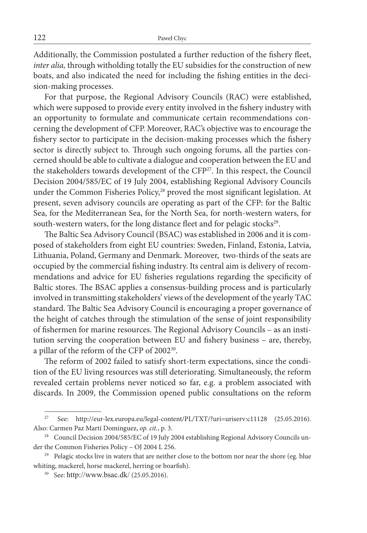Additionally, the Commission postulated a further reduction of the fishery fleet, *inter alia,* through witholding totally the EU subsidies for the construction of new boats, and also indicated the need for including the fishing entities in the decision-making processes.

For that purpose, the Regional Advisory Councils (RAC) were established, which were supposed to provide every entity involved in the fishery industry with an opportunity to formulate and communicate certain recommendations concerning the development of CFP. Moreover, RAC's objective was to encourage the fishery sector to participate in the decision-making processes which the fishery sector is directly subject to. Through such ongoing forums, all the parties concerned should be able to cultivate a dialogue and cooperation between the EU and the stakeholders towards development of the CFP27. In this respect, the Council Decision 2004/585/EC of 19 July 2004, establishing Regional Advisory Councils under the Common Fisheries Policy,<sup>28</sup> proved the most significant legislation. At present, seven advisory councils are operating as part of the CFP: for the Baltic Sea, for the Mediterranean Sea, for the North Sea, for north-western waters, for south-western waters, for the long distance fleet and for pelagic stocks<sup>29</sup>.

The Baltic Sea Advisory Council (BSAC) was established in 2006 and it is composed of stakeholders from eight EU countries: Sweden, Finland, Estonia, Latvia, Lithuania, Poland, Germany and Denmark. Moreover, two-thirds of the seats are occupied by the commercial fishing industry. Its central aim is delivery of recommendations and advice for EU fisheries regulations regarding the specificity of Baltic stores. The BSAC applies a consensus-building process and is particularly involved in transmitting stakeholders' views of the development of the yearly TAC standard. The Baltic Sea Advisory Council is encouraging a proper governance of the height of catches through the stimulation of the sense of joint responsibility of fishermen for marine resources. The Regional Advisory Councils – as an institution serving the cooperation between EU and fishery business – are, thereby, a pillar of the reform of the CFP of 2002<sup>30</sup>.

The reform of 2002 failed to satisfy short-term expectations, since the condition of the EU living resources was still deteriorating. Simultaneously, the reform revealed certain problems never noticed so far, e.g. a problem associated with discards. In 2009, the Commission opened public consultations on the reform

<sup>27</sup> See: http://eur-lex.europa.eu/legal-content/PL/TXT/?uri=uriserv:c11128 (25.05.2016). Also: Carmen Paz Martí Dominguez, *op. cit.*, p. 3.

<sup>&</sup>lt;sup>28</sup> Council Decision 2004/585/EC of 19 July 2004 establishing Regional Advisory Councils under the Common Fisheries Policy – OJ 2004 L 256.

<sup>&</sup>lt;sup>29</sup> Pelagic stocks live in waters that are neither close to the bottom nor near the shore (eg. blue whiting, mackerel, horse mackerel, herring or boarfish).

<sup>30</sup> See: http://www.bsac.dk/ (25.05.2016).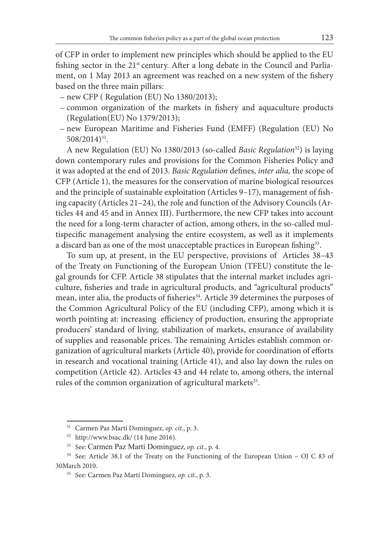of CFP in order to implement new principles which should be applied to the EU fishing sector in the 21<sup>st</sup> century. After a long debate in the Council and Parliament, on 1 May 2013 an agreement was reached on a new system of the fishery based on the three main pillars:

- new CFP ( Regulation (EU) No 1380/2013);
- common organization of the markets in fishery and aquaculture products (Regulation(EU) No 1379/2013);
- new European Maritime and Fisheries Fund (EMFF) (Regulation (EU) No 508/2014)31.

A new Regulation (EU) No 1380/2013 (so-called *Basic Regulation*32) is laying down contemporary rules and provisions for the Common Fisheries Policy and it was adopted at the end of 2013. *Basic Regulation* defines, *inter alia,* the scope of CFP (Article 1), the measures for the conservation of marine biological resources and the principle of sustainable exploitation (Articles 9–17), management of fishing capacity (Articles 21–24), the role and function of the Advisory Councils (Articles 44 and 45 and in Annex III). Furthermore, the new CFP takes into account the need for a long-term character of action, among others, in the so-called multispecific management analysing the entire ecosystem, as well as it implements a discard ban as one of the most unacceptable practices in European fishing<sup>33</sup>.

To sum up, at present, in the EU perspective, provisions of Articles 38–43 of the Treaty on Functioning of the European Union (TFEU) constitute the legal grounds for CFP. Article 38 stipulates that the internal market includes agriculture, fisheries and trade in agricultural products, and "agricultural products" mean, inter alia, the products of fisheries<sup>34</sup>. Article 39 determines the purposes of the Common Agricultural Policy of the EU (including CFP), among which it is worth pointing at: increasing efficiency of production, ensuring the appropriate producers' standard of living, stabilization of markets, ensurance of availability of supplies and reasonable prices. The remaining Articles establish common organization of agricultural markets (Article 40), provide for coordination of efforts in research and vocational training (Article 41), and also lay down the rules on competition (Article 42). Articles 43 and 44 relate to, among others, the internal rules of the common organization of agricultural markets<sup>35</sup>.

<sup>31</sup> Carmen Paz Martí Dominguez, *op. cit.*, p. 3.

<sup>32</sup> http://www.bsac.dk/ (14 June 2016).

<sup>33</sup> See: Carmen Paz Martí Dominguez, *op. cit.*, p. 4.

<sup>&</sup>lt;sup>34</sup> See: Article 38.1 of the Treaty on the Functioning of the European Union – OJ C 83 of 30March 2010.

<sup>35</sup> See: Carmen Paz Martí Dominguez, *op. cit.*, p. 3.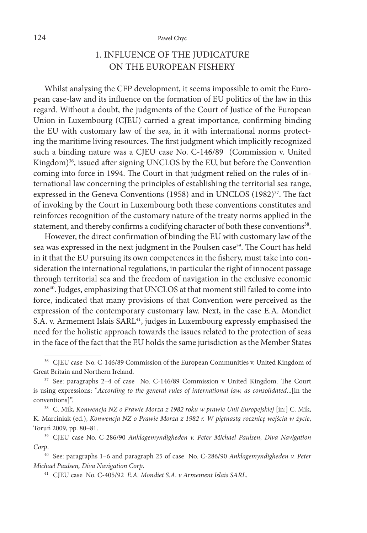## 1. INFLUENCE OF THE JUDICATURE ON THE EUROPEAN FISHERY

Whilst analysing the CFP development, it seems impossible to omit the European case-law and its influence on the formation of EU politics of the law in this regard. Without a doubt, the judgments of the Court of Justice of the European Union in Luxembourg (CJEU) carried a great importance, confirming binding the EU with customary law of the sea, in it with international norms protecting the maritime living resources. The first judgment which implicitly recognized such a binding nature was a CJEU case No. C-146/89 (Commission v. United Kingdom)<sup>36</sup>, issued after signing UNCLOS by the EU, but before the Convention coming into force in 1994. The Court in that judgment relied on the rules of international law concerning the principles of establishing the territorial sea range, expressed in the Geneva Conventions (1958) and in UNCLOS (1982)<sup>37</sup>. The fact of invoking by the Court in Luxembourg both these conventions constitutes and reinforces recognition of the customary nature of the treaty norms applied in the statement, and thereby confirms a codifying character of both these conventions<sup>38</sup>.

However, the direct confirmation of binding the EU with customary law of the sea was expressed in the next judgment in the Poulsen case<sup>39</sup>. The Court has held in it that the EU pursuing its own competences in the fishery, must take into consideration the international regulations, in particular the right of innocent passage through territorial sea and the freedom of navigation in the exclusive economic zone<sup>40</sup>. Judges, emphasizing that UNCLOS at that moment still failed to come into force, indicated that many provisions of that Convention were perceived as the expression of the contemporary customary law. Next, in the case E.A. Mondiet S.A. v. Armement Islais SARL<sup>41</sup>, judges in Luxembourg expressly emphasised the need for the holistic approach towards the issues related to the protection of seas in the face of the fact that the EU holds the same jurisdiction as the Member States

<sup>&</sup>lt;sup>36</sup> CJEU case No. C-146/89 Commission of the European Communities v. United Kingdom of Great Britain and Northern Ireland.

<sup>37</sup> See: paragraphs 2–4 of case No. C-146/89 Commission v United Kingdom. The Court is using expressions: "*According to the general rules of international law, as consolidated*...[in the conventions]".

<sup>38</sup> C. Mik, *Konwencja NZ o Prawie Morza z 1982 roku w prawie Unii Europejskiej* [in:] C. Mik, K. Marciniak (ed.), *Konwencja NZ o Prawie Morza z 1982 r. W piętnastą rocznicę wejścia w życie*, Toruń 2009, pp. 80–81.

<sup>39</sup> CJEU case No. C-286/90 *Anklagemyndigheden v. Peter Michael Paulsen, Diva Navigation Corp*.

<sup>40</sup> See: paragraphs 1–6 and paragraph 25 of case No. C-286/90 *Anklagemyndigheden v. Peter Michael Paulsen, Diva Navigation Corp*.

<sup>41</sup> CJEU case No. C-405/92 *E.A. Mondiet S.A. v Armement Islais SARL*.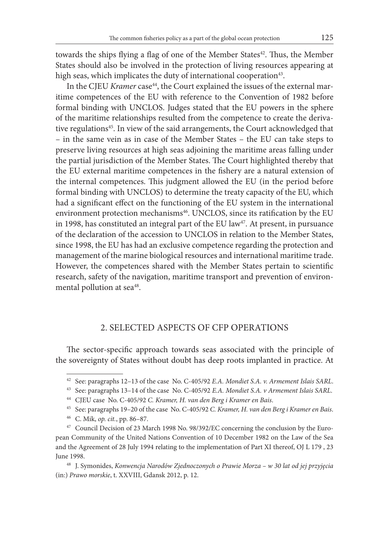towards the ships flying a flag of one of the Member States $42$ . Thus, the Member States should also be involved in the protection of living resources appearing at high seas, which implicates the duty of international cooperation<sup>43</sup>.

In the CJEU *Kramer* case<sup>44</sup>, the Court explained the issues of the external maritime competences of the EU with reference to the Convention of 1982 before formal binding with UNCLOS. Judges stated that the EU powers in the sphere of the maritime relationships resulted from the competence to create the derivative regulations<sup>45</sup>. In view of the said arrangements, the Court acknowledged that – in the same vein as in case of the Member States – the EU can take steps to preserve living resources at high seas adjoining the maritime areas falling under the partial jurisdiction of the Member States. The Court highlighted thereby that the EU external maritime competences in the fishery are a natural extension of the internal competences. This judgment allowed the EU (in the period before formal binding with UNCLOS) to determine the treaty capacity of the EU, which had a significant effect on the functioning of the EU system in the international environment protection mechanisms<sup>46</sup>. UNCLOS, since its ratification by the EU in 1998, has constituted an integral part of the EU law<sup>47</sup>. At present, in pursuance of the declaration of the accession to UNCLOS in relation to the Member States, since 1998, the EU has had an exclusive competence regarding the protection and management of the marine biological resources and international maritime trade. However, the competences shared with the Member States pertain to scientific research, safety of the navigation, maritime transport and prevention of environmental pollution at sea<sup>48</sup>.

#### 2. SELECTED ASPECTS OF CFP OPERATIONS

The sector-specific approach towards seas associated with the principle of the sovereignty of States without doubt has deep roots implanted in practice. At

<sup>42</sup> See: paragraphs 12–13 of the case No. C-405/92 *E.A. Mondiet S.A. v. Armement Islais SARL*.

<sup>43</sup> See: paragraphs 13–14 of the case No. C-405/92 *E.A. Mondiet S.A. v Armement Islais SARL*.

<sup>44</sup> CJEU case No. C-405/92 *C. Kramer, H. van den Berg i Kramer en Bais*.

<sup>45</sup> See: paragraphs 19–20 of the case No. C-405/92 *C. Kramer, H. van den Berg i Kramer en Bais*.

<sup>46</sup> C. Mik, *op. cit.*, pp. 86–87.

<sup>47</sup> Council Decision of 23 March 1998 No. 98/392/EC concerning the conclusion by the European Community of the United Nations Convention of 10 December 1982 on the Law of the Sea and the Agreement of 28 July 1994 relating to the implementation of Part XI thereof, OJ L 179 , 23 June 1998.

<sup>48</sup> J. Symonides, *Konwencja Narodów Zjednoczonych o Prawie Morza – w 30 lat od jej przyjęcia* (in:) *Prawo morskie*, t. XXVIII, Gdansk 2012, p. 12.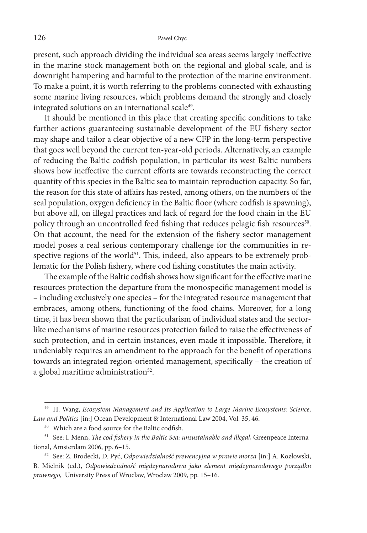present, such approach dividing the individual sea areas seems largely ineffective in the marine stock management both on the regional and global scale, and is downright hampering and harmful to the protection of the marine environment. To make a point, it is worth referring to the problems connected with exhausting some marine living resources, which problems demand the strongly and closely integrated solutions on an international scale<sup>49</sup>.

It should be mentioned in this place that creating specific conditions to take further actions guaranteeing sustainable development of the EU fishery sector may shape and tailor a clear objective of a new CFP in the long-term perspective that goes well beyond the current ten-year-old periods. Alternatively, an example of reducing the Baltic codfish population, in particular its west Baltic numbers shows how ineffective the current efforts are towards reconstructing the correct quantity of this species in the Baltic sea to maintain reproduction capacity. So far, the reason for this state of affairs has rested, among others, on the numbers of the seal population, oxygen deficiency in the Baltic floor (where codfish is spawning), but above all, on illegal practices and lack of regard for the food chain in the EU policy through an uncontrolled feed fishing that reduces pelagic fish resources<sup>50</sup>. On that account, the need for the extension of the fishery sector management model poses a real serious contemporary challenge for the communities in respective regions of the world $51$ . This, indeed, also appears to be extremely problematic for the Polish fishery, where cod fishing constitutes the main activity.

The example of the Baltic codfish shows how significant for the effective marine resources protection the departure from the monospecific management model is – including exclusively one species – for the integrated resource management that embraces, among others, functioning of the food chains. Moreover, for a long time, it has been shown that the particularism of individual states and the sectorlike mechanisms of marine resources protection failed to raise the effectiveness of such protection, and in certain instances, even made it impossible. Therefore, it undeniably requires an amendment to the approach for the benefit of operations towards an integrated region-oriented management, specifically – the creation of a global maritime administration<sup>52</sup>.

<sup>49</sup> H. Wang, *Ecosystem Management and Its Application to Large Marine Ecosystems: Science, Law and Politics* [in:] Ocean Development & International Law 2004, Vol. 35, 46.

<sup>50</sup> Which are a food source for the Baltic codfish.

<sup>51</sup> See: I. Menn, *The cod fishery in the Baltic Sea: unsustainable and illegal*, Greenpeace International, Amsterdam 2006, pp. 6–15.

<sup>52</sup> See: Z. Brodecki, D. Pyć, *Odpowiedzialność prewencyjna w prawie morza* [in:] A. Kozłowski, B. Mielnik (ed.), *Odpowiedzialność międzynarodowa jako element międzynarodowego porządku prawnego*, University Press of Wroclaw, Wroclaw 2009, pp. 15–16.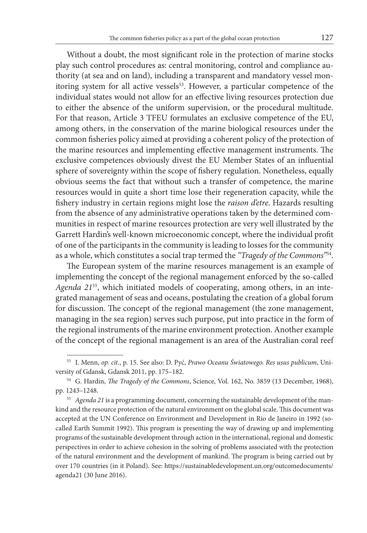Without a doubt, the most significant role in the protection of marine stocks play such control procedures as: central monitoring, control and compliance authority (at sea and on land), including a transparent and mandatory vessel monitoring system for all active vessels<sup>53</sup>. However, a particular competence of the individual states would not allow for an effective living resources protection due to either the absence of the uniform supervision, or the procedural multitude. For that reason, Article 3 TFEU formulates an exclusive competence of the EU, among others, in the conservation of the marine biological resources under the common fisheries policy aimed at providing a coherent policy of the protection of the marine resources and implementing effective management instruments. The exclusive competences obviously divest the EU Member States of an influential sphere of sovereignty within the scope of fishery regulation. Nonetheless, equally obvious seems the fact that without such a transfer of competence, the marine resources would in quite a short time lose their regeneration capacity, while the fishery industry in certain regions might lose the *raison d'etre*. Hazards resulting from the absence of any administrative operations taken by the determined communities in respect of marine resources protection are very well illustrated by the Garrett Hardin's well-known microeconomic concept, where the individual profit of one of the participants in the community is leading to losses for the community as a whole, which constitutes a social trap termed the *"Tragedy of the Commons"*54.

The European system of the marine resources management is an example of implementing the concept of the regional management enforced by the so-called *Agenda 21*55, which initiated models of cooperating, among others, in an integrated management of seas and oceans, postulating the creation of a global forum for discussion. The concept of the regional management (the zone management, managing in the sea region) serves such purpose, put into practice in the form of the regional instruments of the marine environment protection. Another example of the concept of the regional management is an area of the Australian coral reef

<sup>53</sup> I. Menn, *op. cit.*, p. 15. See also: D. Pyć, *Prawo Oceanu Światowego. Res usus publicum*, University of Gdansk, Gdansk 2011, pp. 175–182.

<sup>54</sup> G. Hardin, *The Tragedy of the Commons*, Science, Vol. 162, No. 3859 (13 December, 1968), pp. 1243–1248.

<sup>55</sup> *Agenda 21* is a programming document, concerning the sustainable development of the mankind and the resource protection of the natural environment on the global scale. This document was accepted at the UN Conference on Environment and Development in Rio de Janeiro in 1992 (socalled Earth Summit 1992). This program is presenting the way of drawing up and implementing programs of the sustainable development through action in the international, regional and domestic perspectives in order to achieve cohesion in the solving of problems associated with the protection of the natural environment and the development of mankind. The program is being carried out by over 170 countries (in it Poland). See: https://sustainabledevelopment.un.org/outcomedocuments/ agenda21 (30 June 2016).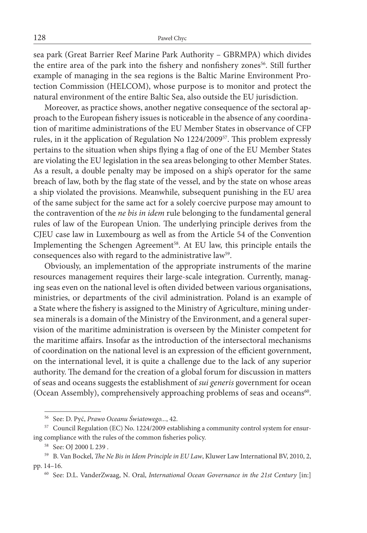sea park (Great Barrier Reef Marine Park Authority – GBRMPA) which divides the entire area of the park into the fishery and nonfishery zones<sup>56</sup>. Still further example of managing in the sea regions is the Baltic Marine Environment Protection Commission (HELCOM), whose purpose is to monitor and protect the natural environment of the entire Baltic Sea, also outside the EU jurisdiction.

Moreover, as practice shows, another negative consequence of the sectoral approach to the European fishery issues is noticeable in the absence of any coordination of maritime administrations of the EU Member States in observance of CFP rules, in it the application of Regulation No 1224/200957. This problem expressly pertains to the situation when ships flying a flag of one of the EU Member States are violating the EU legislation in the sea areas belonging to other Member States. As a result, a double penalty may be imposed on a ship's operator for the same breach of law, both by the flag state of the vessel, and by the state on whose areas a ship violated the provisions. Meanwhile, subsequent punishing in the EU area of the same subject for the same act for a solely coercive purpose may amount to the contravention of the *ne bis in idem* rule belonging to the fundamental general rules of law of the European Union. The underlying principle derives from the CJEU case law in Luxembourg as well as from the Article 54 of the Convention Implementing the Schengen Agreement<sup>58</sup>. At EU law, this principle entails the consequences also with regard to the administrative law<sup>59</sup>.

Obviously, an implementation of the appropriate instruments of the marine resources management requires their large-scale integration. Currently, managing seas even on the national level is often divided between various organisations, ministries, or departments of the civil administration. Poland is an example of a State where the fishery is assigned to the Ministry of Agriculture, mining undersea minerals is a domain of the Ministry of the Environment, and a general supervision of the maritime administration is overseen by the Minister competent for the maritime affairs. Insofar as the introduction of the intersectoral mechanisms of coordination on the national level is an expression of the efficient government, on the international level, it is quite a challenge due to the lack of any superior authority. The demand for the creation of a global forum for discussion in matters of seas and oceans suggests the establishment of *sui generis* government for ocean (Ocean Assembly), comprehensively approaching problems of seas and oceans<sup>60</sup>.

<sup>&</sup>lt;sup>56</sup> See: D. Pyć, *Prawo Oceanu Światowego...*, 42.<br><sup>57</sup> Council Regulation (EC) No. 1224/2009 establishing a community control system for ensuring compliance with the rules of the common fisheries policy.

<sup>58</sup> See: OJ 2000 L 239 .

<sup>59</sup> B. Van Bockel, *The Ne Bis in Idem Principle in EU Law*, Kluwer Law International BV, 2010, 2, pp. 14–16.

<sup>60</sup> See: D.L. VanderZwaag, N. Oral, *International Ocean Governance in the 21st Century* [in:]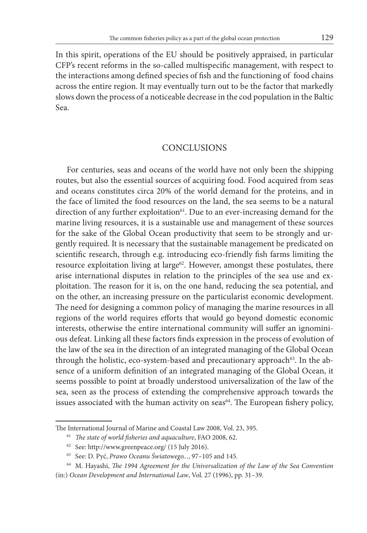In this spirit, operations of the EU should be positively appraised, in particular CFP's recent reforms in the so-called multispecific management, with respect to the interactions among defined species of fish and the functioning of food chains across the entire region. It may eventually turn out to be the factor that markedly slows down the process of a noticeable decrease in the cod population in the Baltic Sea.

#### **CONCLUSIONS**

For centuries, seas and oceans of the world have not only been the shipping routes, but also the essential sources of acquiring food. Food acquired from seas and oceans constitutes circa 20% of the world demand for the proteins, and in the face of limited the food resources on the land, the sea seems to be a natural direction of any further exploitation<sup>61</sup>. Due to an ever-increasing demand for the marine living resources, it is a sustainable use and management of these sources for the sake of the Global Ocean productivity that seem to be strongly and urgently required. It is necessary that the sustainable management be predicated on scientific research, through e.g. introducing eco-friendly fish farms limiting the resource exploitation living at large<sup>62</sup>. However, amongst these postulates, there arise international disputes in relation to the principles of the sea use and exploitation. The reason for it is, on the one hand, reducing the sea potential, and on the other, an increasing pressure on the particularist economic development. The need for designing a common policy of managing the marine resources in all regions of the world requires efforts that would go beyond domestic economic interests, otherwise the entire international community will suffer an ignominious defeat. Linking all these factors finds expression in the process of evolution of the law of the sea in the direction of an integrated managing of the Global Ocean through the holistic, eco-system-based and precautionary approach<sup>63</sup>. In the absence of a uniform definition of an integrated managing of the Global Ocean, it seems possible to point at broadly understood universalization of the law of the sea, seen as the process of extending the comprehensive approach towards the issues associated with the human activity on seas<sup>64</sup>. The European fishery policy,

The International Journal of Marine and Coastal Law 2008, Vol. 23, 395.

<sup>61</sup> *The state of world fisheries and aquaculture*, FAO 2008, 62.

<sup>62</sup> See: http://www.greenpeace.org/ (15 July 2016).

<sup>63</sup> See: D. Pyć, *Prawo Oceanu Światowego...*, 97–105 and 145.

<sup>64</sup> M. Hayashi, *The 1994 Agreement for the Universalization of the Law of the Sea Convention*

<sup>(</sup>in:) *Ocean Development and International Law*, Vol. 27 (1996), pp. 31–39.